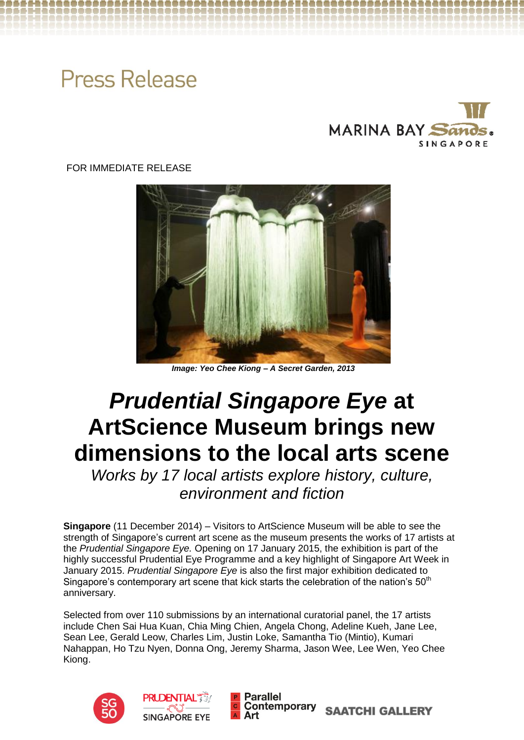# **Press Release**



FOR IMMEDIATE RELEASE



*Image: Yeo Chee Kiong – A Secret Garden, 2013*

# *Prudential Singapore Eye* **at ArtScience Museum brings new dimensions to the local arts scene**

*Works by 17 local artists explore history, culture, environment and fiction*

**Singapore** (11 December 2014) – Visitors to ArtScience Museum will be able to see the strength of Singapore's current art scene as the museum presents the works of 17 artists at the *Prudential Singapore Eye.* Opening on 17 January 2015, the exhibition is part of the highly successful Prudential Eye Programme and a key highlight of Singapore Art Week in January 2015. *Prudential Singapore Eye* is also the first major exhibition dedicated to Singapore's contemporary art scene that kick starts the celebration of the nation's 50<sup>th</sup> anniversary.

Selected from over 110 submissions by an international curatorial panel, the 17 artists include Chen Sai Hua Kuan, Chia Ming Chien, Angela Chong, Adeline Kueh, Jane Lee, Sean Lee, Gerald Leow, Charles Lim, Justin Loke, Samantha Tio (Mintio), Kumari Nahappan, Ho Tzu Nyen, Donna Ong, Jeremy Sharma, Jason Wee, Lee Wen, Yeo Chee Kiong.





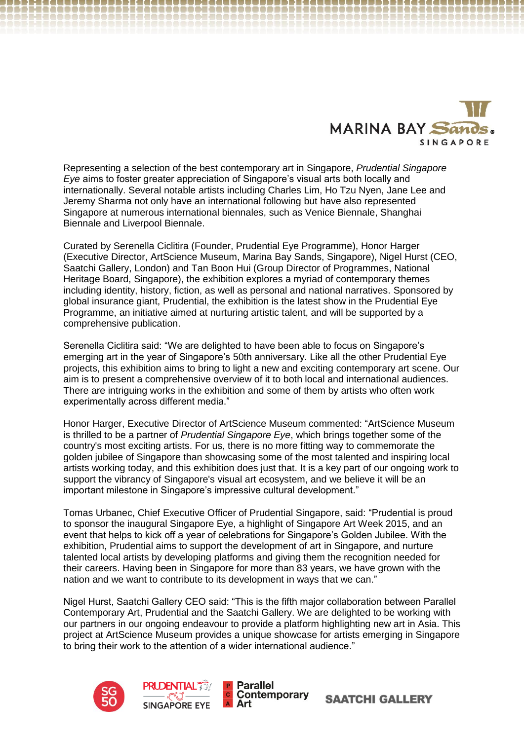

Representing a selection of the best contemporary art in Singapore, *Prudential Singapore Eye* aims to foster greater appreciation of Singapore's visual arts both locally and internationally. Several notable artists including Charles Lim, Ho Tzu Nyen, Jane Lee and Jeremy Sharma not only have an international following but have also represented Singapore at numerous international biennales, such as Venice Biennale, Shanghai Biennale and Liverpool Biennale.

Curated by Serenella Ciclitira (Founder, Prudential Eye Programme), Honor Harger (Executive Director, ArtScience Museum, Marina Bay Sands, Singapore), Nigel Hurst (CEO, Saatchi Gallery, London) and Tan Boon Hui (Group Director of Programmes, National Heritage Board, Singapore), the exhibition explores a myriad of contemporary themes including identity, history, fiction, as well as personal and national narratives. Sponsored by global insurance giant, Prudential, the exhibition is the latest show in the Prudential Eye Programme, an initiative aimed at nurturing artistic talent, and will be supported by a comprehensive publication.

Serenella Ciclitira said: "We are delighted to have been able to focus on Singapore's emerging art in the year of Singapore's 50th anniversary. Like all the other Prudential Eye projects, this exhibition aims to bring to light a new and exciting contemporary art scene. Our aim is to present a comprehensive overview of it to both local and international audiences. There are intriguing works in the exhibition and some of them by artists who often work experimentally across different media."

Honor Harger, Executive Director of ArtScience Museum commented: "ArtScience Museum is thrilled to be a partner of *Prudential Singapore Eye*, which brings together some of the country's most exciting artists. For us, there is no more fitting way to commemorate the golden jubilee of Singapore than showcasing some of the most talented and inspiring local artists working today, and this exhibition does just that. It is a key part of our ongoing work to support the vibrancy of Singapore's visual art ecosystem, and we believe it will be an important milestone in Singapore's impressive cultural development."

Tomas Urbanec, Chief Executive Officer of Prudential Singapore, said: "Prudential is proud to sponsor the inaugural Singapore Eye, a highlight of Singapore Art Week 2015, and an event that helps to kick off a year of celebrations for Singapore's Golden Jubilee. With the exhibition, Prudential aims to support the development of art in Singapore, and nurture talented local artists by developing platforms and giving them the recognition needed for their careers. Having been in Singapore for more than 83 years, we have grown with the nation and we want to contribute to its development in ways that we can."

Nigel Hurst, Saatchi Gallery CEO said: "This is the fifth major collaboration between Parallel Contemporary Art, Prudential and the Saatchi Gallery. We are delighted to be working with our partners in our ongoing endeavour to provide a platform highlighting new art in Asia. This project at ArtScience Museum provides a unique showcase for artists emerging in Singapore to bring their work to the attention of a wider international audience."

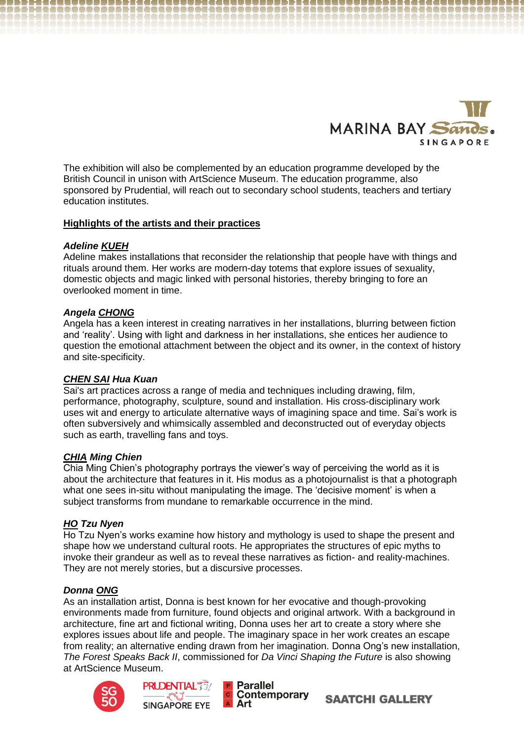

The exhibition will also be complemented by an education programme developed by the British Council in unison with ArtScience Museum. The education programme, also sponsored by Prudential, will reach out to secondary school students, teachers and tertiary education institutes.

## **Highlights of the artists and their practices**

## *Adeline KUEH*

Adeline makes installations that reconsider the relationship that people have with things and rituals around them. Her works are modern-day totems that explore issues of sexuality, domestic objects and magic linked with personal histories, thereby bringing to fore an overlooked moment in time.

## *Angela CHONG*

Angela has a keen interest in creating narratives in her installations, blurring between fiction and 'reality'. Using with light and darkness in her installations, she entices her audience to question the emotional attachment between the object and its owner, in the context of history and site-specificity.

# *CHEN SAI Hua Kuan*

Sai's art practices across a range of media and techniques including drawing, film, performance, photography, sculpture, sound and installation. His cross-disciplinary work uses wit and energy to articulate alternative ways of imagining space and time. Sai's work is often subversively and whimsically assembled and deconstructed out of everyday objects such as earth, travelling fans and toys.

# *CHIA Ming Chien*

Chia Ming Chien's photography portrays the viewer's way of perceiving the world as it is about the architecture that features in it. His modus as a photojournalist is that a photograph what one sees in-situ without manipulating the image. The 'decisive moment' is when a subject transforms from mundane to remarkable occurrence in the mind.

# *HO Tzu Nyen*

Ho Tzu Nyen's works examine how history and mythology is used to shape the present and shape how we understand cultural roots. He appropriates the structures of epic myths to invoke their grandeur as well as to reveal these narratives as fiction- and reality-machines. They are not merely stories, but a discursive processes.

## *Donna ONG*

As an installation artist, Donna is best known for her evocative and though-provoking environments made from furniture, found objects and original artwork. With a background in architecture, fine art and fictional writing, Donna uses her art to create a story where she explores issues about life and people. The imaginary space in her work creates an escape from reality; an alternative ending drawn from her imagination. Donna Ong's new installation, *The Forest Speaks Back II*, commissioned for *Da Vinci Shaping the Future* is also showing at ArtScience Museum.





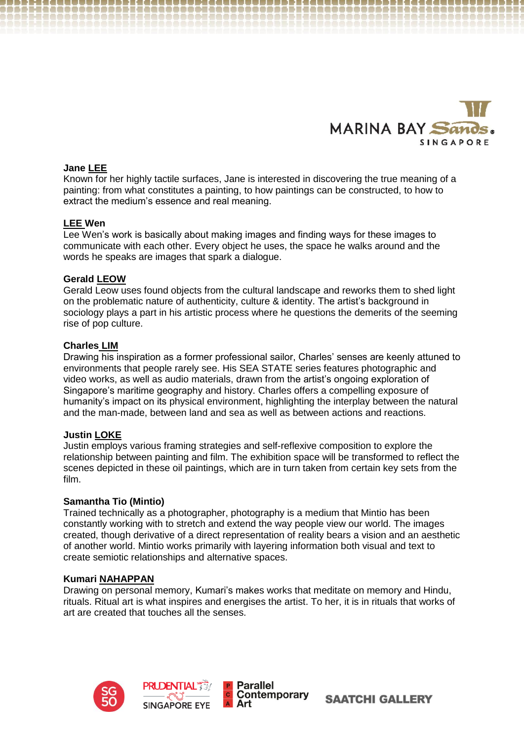

## **Jane LEE**

Known for her highly tactile surfaces, Jane is interested in discovering the true meaning of a painting: from what constitutes a painting, to how paintings can be constructed, to how to extract the medium's essence and real meaning.

## **LEE Wen**

Lee Wen's work is basically about making images and finding ways for these images to communicate with each other. Every object he uses, the space he walks around and the words he speaks are images that spark a dialogue.

## **Gerald LEOW**

Gerald Leow uses found objects from the cultural landscape and reworks them to shed light on the problematic nature of authenticity, culture & identity. The artist's background in sociology plays a part in his artistic process where he questions the demerits of the seeming rise of pop culture.

## **Charles LIM**

Drawing his inspiration as a former professional sailor, Charles' senses are keenly attuned to environments that people rarely see. His SEA STATE series features photographic and video works, as well as audio materials, drawn from the artist's ongoing exploration of Singapore's maritime geography and history. Charles offers a compelling exposure of humanity's impact on its physical environment, highlighting the interplay between the natural and the man-made, between land and sea as well as between actions and reactions.

## **Justin LOKE**

Justin employs various framing strategies and self-reflexive composition to explore the relationship between painting and film. The exhibition space will be transformed to reflect the scenes depicted in these oil paintings, which are in turn taken from certain key sets from the film.

## **Samantha Tio (Mintio)**

Trained technically as a photographer, photography is a medium that Mintio has been constantly working with to stretch and extend the way people view our world. The images created, though derivative of a direct representation of reality bears a vision and an aesthetic of another world. Mintio works primarily with layering information both visual and text to create semiotic relationships and alternative spaces.

## **Kumari NAHAPPAN**

Drawing on personal memory, Kumari's makes works that meditate on memory and Hindu, rituals. Ritual art is what inspires and energises the artist. To her, it is in rituals that works of art are created that touches all the senses.

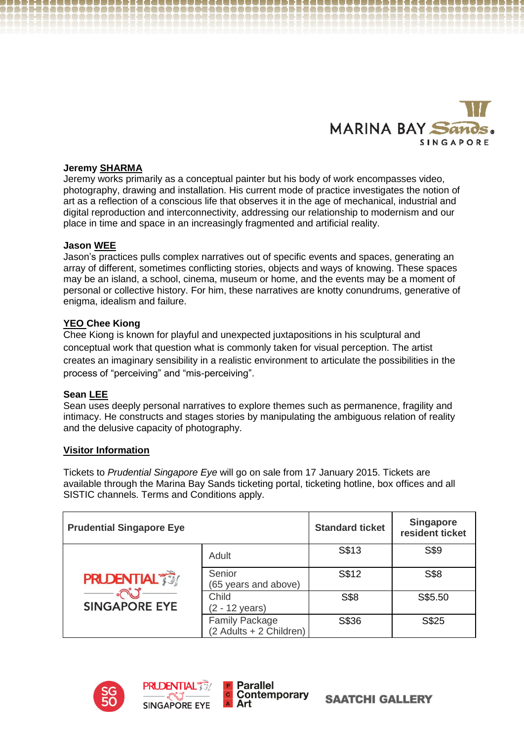

## **Jeremy SHARMA**

Jeremy works primarily as a conceptual painter but his body of work encompasses video, photography, drawing and installation. His current mode of practice investigates the notion of art as a reflection of a conscious life that observes it in the age of mechanical, industrial and digital reproduction and interconnectivity, addressing our relationship to modernism and our place in time and space in an increasingly fragmented and artificial reality.

## **Jason WEE**

Jason's practices pulls complex narratives out of specific events and spaces, generating an array of different, sometimes conflicting stories, objects and ways of knowing. These spaces may be an island, a school, cinema, museum or home, and the events may be a moment of personal or collective history. For him, these narratives are knotty conundrums, generative of enigma, idealism and failure.

## **YEO Chee Kiong**

Chee Kiong is known for playful and unexpected juxtapositions in his sculptural and conceptual work that question what is commonly taken for visual perception. The artist creates an imaginary sensibility in a realistic environment to articulate the possibilities in the process of "perceiving" and "mis-perceiving".

## **Sean LEE**

Sean uses deeply personal narratives to explore themes such as permanence, fragility and intimacy. He constructs and stages stories by manipulating the ambiguous relation of reality and the delusive capacity of photography.

# **Visitor Information**

Tickets to *Prudential Singapore Eye* will go on sale from 17 January 2015. Tickets are available through the Marina Bay Sands ticketing portal, ticketing hotline, box offices and all SISTIC channels. Terms and Conditions apply.

| <b>Prudential Singapore Eye</b>           |                                                  | <b>Standard ticket</b> | <b>Singapore</b><br>resident ticket |
|-------------------------------------------|--------------------------------------------------|------------------------|-------------------------------------|
| <b>PRUDENTIAL</b><br><b>SINGAPORE EYE</b> | Adult                                            | S\$13                  | S\$9                                |
|                                           | Senior<br>(65 years and above)                   | S\$12                  | S\$8                                |
|                                           | Child<br>(2 - 12 years)                          | S\$8                   | S\$5.50                             |
|                                           | <b>Family Package</b><br>(2 Adults + 2 Children) | S\$36                  | S\$25                               |

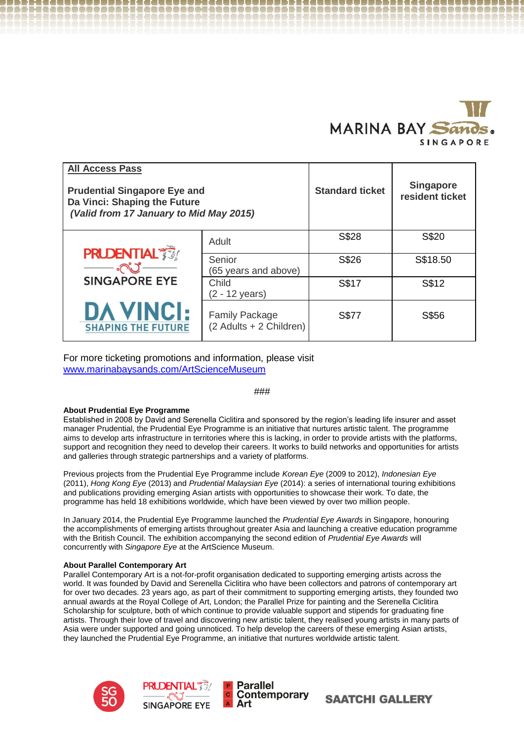

\_\_\_\_\_\_\_\_\_\_\_\_\_\_\_\_\_\_\_\_\_\_\_\_\_\_\_

| <b>All Access Pass</b><br><b>Prudential Singapore Eye and</b><br>Da Vinci: Shaping the Future<br>(Valid from 17 January to Mid May 2015) |                                               |                                                  | <b>Standard ticket</b> | <b>Singapore</b><br>resident ticket |
|------------------------------------------------------------------------------------------------------------------------------------------|-----------------------------------------------|--------------------------------------------------|------------------------|-------------------------------------|
|                                                                                                                                          | <b>PRUDENTIAL</b>                             | Adult                                            | S\$28                  | S\$20                               |
|                                                                                                                                          | ಗಿಲೆ<br><b>SINGAPORE EYE</b>                  | Senior<br>(65 years and above)                   | S\$26                  | S\$18.50                            |
|                                                                                                                                          |                                               | Child<br>(2 - 12 years)                          | S\$17                  | S\$12                               |
|                                                                                                                                          | <b>DA VINCI:</b><br><b>SHAPING THE FUTURE</b> | <b>Family Package</b><br>(2 Adults + 2 Children) | S\$77                  | S\$56                               |

For more ticketing promotions and information, please visit [www.marinabaysands.com/ArtScienceMuseum](http://www.marinabaysands.com/ArtScienceMuseum)

## *###*

#### **About Prudential Eye Programme**

Established in 2008 by David and Serenella Ciclitira and sponsored by the region's leading life insurer and asset manager Prudential, the Prudential Eye Programme is an initiative that nurtures artistic talent. The programme aims to develop arts infrastructure in territories where this is lacking, in order to provide artists with the platforms, support and recognition they need to develop their careers. It works to build networks and opportunities for artists and galleries through strategic partnerships and a variety of platforms.

Previous projects from the Prudential Eye Programme include *Korean Eye* (2009 to 2012), *Indonesian Eye*  (2011), *Hong Kong Eye* (2013) and *Prudential Malaysian Eye* (2014): a series of international touring exhibitions and publications providing emerging Asian artists with opportunities to showcase their work. To date, the programme has held 18 exhibitions worldwide, which have been viewed by over two million people.

In January 2014, the Prudential Eye Programme launched the *Prudential Eye Awards* in Singapore, honouring the accomplishments of emerging artists throughout greater Asia and launching a creative education programme with the British Council. The exhibition accompanying the second edition of *Prudential Eye Awards* will concurrently with *Singapore Eye* at the ArtScience Museum.

#### **About Parallel Contemporary Art**

Parallel Contemporary Art is a not-for-profit organisation dedicated to supporting emerging artists across the world. It was founded by David and Serenella Ciclitira who have been collectors and patrons of contemporary art for over two decades. 23 years ago, as part of their commitment to supporting emerging artists, they founded two annual awards at the Royal College of Art, London; the Parallel Prize for painting and the Serenella Ciclitira Scholarship for sculpture, both of which continue to provide valuable support and stipends for graduating fine artists. Through their love of travel and discovering new artistic talent, they realised young artists in many parts of Asia were under supported and going unnoticed. To help develop the careers of these emerging Asian artists, they launched the Prudential Eye Programme, an initiative that nurtures worldwide artistic talent.

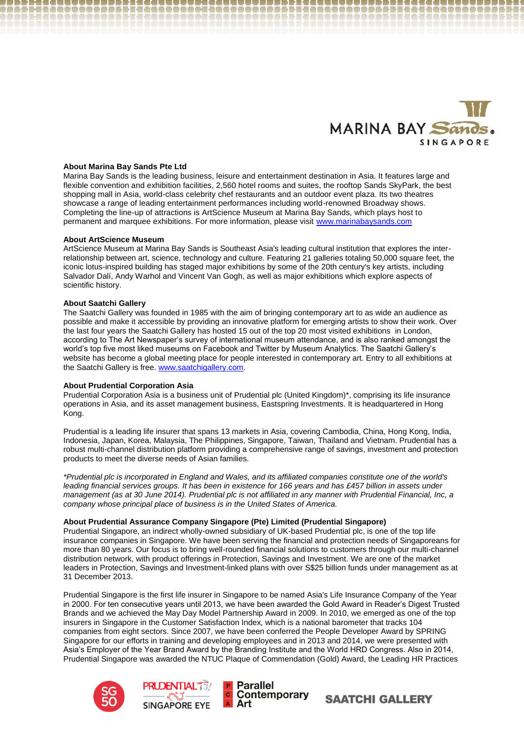

#### **About Marina Bay Sands Pte Ltd**

Marina Bay Sands is the leading business, leisure and entertainment destination in Asia. It features large and flexible convention and exhibition facilities, 2,560 hotel rooms and suites, the rooftop Sands SkyPark, the best shopping mall in Asia, world-class celebrity chef restaurants and an outdoor event plaza. Its two theatres showcase a range of leading entertainment performances including world-renowned Broadway shows. Completing the line-up of attractions is ArtScience Museum at Marina Bay Sands, which plays host to permanent and marquee exhibitions. For more information, please visit [www.marinabaysands.com](http://www.marinabaysands.com/)

#### **About ArtScience Museum**

ArtScience Museum at Marina Bay Sands is Southeast Asia's leading cultural institution that explores the interrelationship between art, science, technology and culture. Featuring 21 galleries totaling 50,000 square feet, the iconic lotus-inspired building has staged major exhibitions by some of the 20th century's key artists, including Salvador Dalí, Andy Warhol and Vincent Van Gogh, as well as major exhibitions which explore aspects of scientific history.

#### **About Saatchi Gallery**

The Saatchi Gallery was founded in 1985 with the aim of bringing contemporary art to as wide an audience as possible and make it accessible by providing an innovative platform for emerging artists to show their work. Over the last four years the Saatchi Gallery has hosted 15 out of the top 20 most visited exhibitions in London, according to The Art Newspaper's survey of international museum attendance, and is also ranked amongst the world's top five most liked museums on Facebook and Twitter by Museum Analytics. The Saatchi Gallery's website has become a global meeting place for people interested in contemporary art. Entry to all exhibitions at the Saatchi Gallery is free. [www.saatchigallery.com](http://www.saatchigallery.com/).

#### **About Prudential Corporation Asia**

Prudential Corporation Asia is a business unit of Prudential plc (United Kingdom)\*, comprising its life insurance operations in Asia, and its asset management business, Eastspring Investments. It is headquartered in Hong Kong.

Prudential is a leading life insurer that spans 13 markets in Asia, covering Cambodia, China, Hong Kong, India, Indonesia, Japan, Korea, Malaysia, The Philippines, Singapore, Taiwan, Thailand and Vietnam. Prudential has a robust multi-channel distribution platform providing a comprehensive range of savings, investment and protection products to meet the diverse needs of Asian families.

*\*Prudential plc is incorporated in England and Wales, and its affiliated companies constitute one of the world's leading financial services groups. It has been in existence for 166 years and has £457 billion in assets under management (as at 30 June 2014). Prudential plc is not affiliated in any manner with Prudential Financial, Inc, a company whose principal place of business is in the United States of America.*

#### **About Prudential Assurance Company Singapore (Pte) Limited (Prudential Singapore)**

Prudential Singapore, an indirect wholly-owned subsidiary of UK-based Prudential plc, is one of the top life insurance companies in Singapore. We have been serving the financial and protection needs of Singaporeans for more than 80 years. Our focus is to bring well-rounded financial solutions to customers through our multi-channel distribution network, with product offerings in Protection, Savings and Investment. We are one of the market leaders in Protection, Savings and Investment-linked plans with over S\$25 billion funds under management as at 31 December 2013.

Prudential Singapore is the first life insurer in Singapore to be named Asia's Life Insurance Company of the Year in 2000. For ten consecutive years until 2013, we have been awarded the Gold Award in Reader's Digest Trusted Brands and we achieved the May Day Model Partnership Award in 2009. In 2010, we emerged as one of the top insurers in Singapore in the Customer Satisfaction Index, which is a national barometer that tracks 104 companies from eight sectors. Since 2007, we have been conferred the People Developer Award by SPRING Singapore for our efforts in training and developing employees and in 2013 and 2014, we were presented with Asia's Employer of the Year Brand Award by the Branding Institute and the World HRD Congress. Also in 2014, Prudential Singapore was awarded the NTUC Plaque of Commendation (Gold) Award, the Leading HR Practices